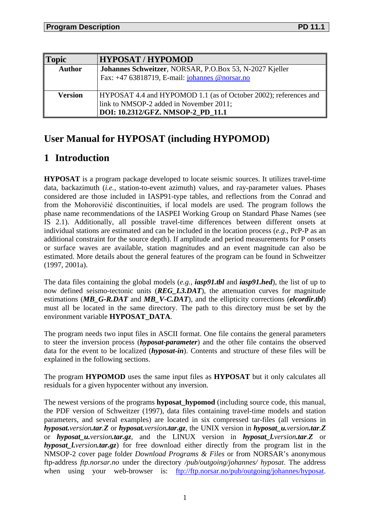| <b>Topic</b>   | <b>HYPOSAT / HYPOMOD</b>                                         |
|----------------|------------------------------------------------------------------|
| <b>Author</b>  | Johannes Schweitzer, NORSAR, P.O.Box 53, N-2027 Kjeller          |
|                | Fax: $+4763818719$ , E-mail: johannes @norsar.no                 |
|                |                                                                  |
| <b>Version</b> | HYPOSAT 4.4 and HYPOMOD 1.1 (as of October 2002); references and |
|                | link to NMSOP-2 added in November 2011;                          |
|                | DOI: 10.2312/GFZ. NMSOP-2_PD_11.1                                |

# **User Manual for HYPOSAT (including HYPOMOD)**

# **1 Introduction**

**HYPOSAT** is a program package developed to locate seismic sources. It utilizes travel-time data, backazimuth (*i.e.*, station-to-event azimuth) values, and ray-parameter values. Phases considered are those included in IASP91-type tables, and reflections from the Conrad and from the Mohorovičić discontinuities, if local models are used. The program follows the phase name recommendations of the IASPEI Working Group on Standard Phase Names (see IS 2.1). Additionally, all possible travel-time differences between different onsets at individual stations are estimated and can be included in the location process (*e.g.*, PcP-P as an additional constraint for the source depth). If amplitude and period measurements for P onsets or surface waves are available, station magnitudes and an event magnitude can also be estimated. More details about the general features of the program can be found in Schweitzer (1997, 2001a).

The data files containing the global models (*e.g., iasp91.tbl* and *iasp91.hed*), the list of up to now defined seismo-tectonic units (*REG\_L3.DAT*), the attenuation curves for magnitude estimations (*MB\_G-R.DAT* and *MB\_V-C.DAT*), and the ellipticity corrections (*elcordir.tbl*) must all be located in the same directory. The path to this directory must be set by the environment variable **HYPOSAT\_DATA**.

The program needs two input files in ASCII format. One file contains the general parameters to steer the inversion process (*hyposat-parameter*) and the other file contains the observed data for the event to be localized (*hyposat-in*). Contents and structure of these files will be explained in the following sections.

The program **HYPOMOD** uses the same input files as **HYPOSAT** but it only calculates all residuals for a given hypocenter without any inversion.

The newest versions of the programs **hyposat\_hypomod** (including source code, this manual, the PDF version of Schweitzer (1997), data files containing travel-time models and station parameters, and several examples) are located in six compressed tar-files (all versions in *hyposat.version.tar.Z* or *hyposat.version.tar.gz*, the UNIX version in *hyposat\_u.version.tar.Z* or *hyposat\_u.version.tar.gz*, and the LINUX version in *hyposat\_l.version.tar.Z* or *hyposat\_l.version.tar.gz*) for free download either directly from the program list in the NMSOP-2 cover page folder *Download Programs & Files* or from NORSAR's anonymous ftp-address *ftp.norsar.no* under the directory */pub/outgoing/johannes/ hyposat*. The address when using your web-browser is: [ftp://ftp.norsar.no/pub/outgoing/johannes/hyposat.](ftp://ftp.norsar.no/pub/outgoing/johannes/hyposat)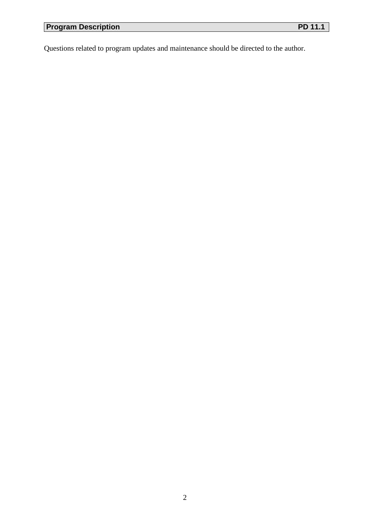Questions related to program updates and maintenance should be directed to the author.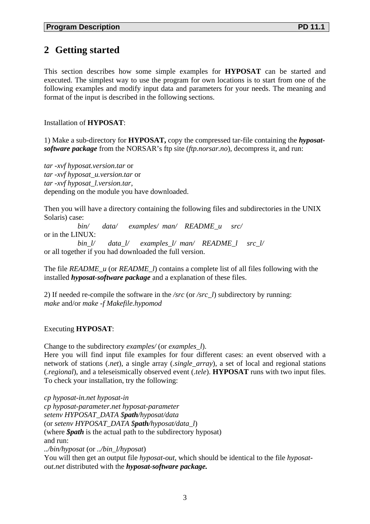## **2 Getting started**

This section describes how some simple examples for **HYPOSAT** can be started and executed. The simplest way to use the program for own locations is to start from one of the following examples and modify input data and parameters for your needs. The meaning and format of the input is described in the following sections.

### Installation of **HYPOSAT**:

1) Make a sub-directory for **HYPOSAT,** copy the compressed tar-file containing the *hyposatsoftware package* from the NORSAR's ftp site (*ftp.norsar.no*), decompress it, and run:

*tar -xvf hyposat.version.tar* or *tar -xvf hyposat\_u.version.tar* or *tar -xvf hyposat\_l.version.tar*, depending on the module you have downloaded.

Then you will have a directory containing the following files and subdirectories in the UNIX Solaris) case:

 *bin/ data/ examples/ man/ README\_u src/*  or in the LINUX:

 *bin\_l/ data\_l/ examples\_l/ man/ README\_l src\_l/* or all together if you had downloaded the full version.

The file *README\_u* (or *README\_l*) contains a complete list of all files following with the installed *hyposat-software package* and a explanation of these files.

2) If needed re-compile the software in the */src* (or */src\_l*) subdirectory by running: *make* and/or *make -f Makefile.hypomod*

Executing **HYPOSAT**:

Change to the subdirectory *examples/* (or *examples\_l*).

Here you will find input file examples for four different cases: an event observed with a network of stations (*.net*), a single array (*.single\_array*), a set of local and regional stations (*.regional*), and a teleseismically observed event (*.tele*). **HYPOSAT** runs with two input files. To check your installation, try the following:

*cp hyposat-in.net hyposat-in cp hyposat-parameter.net hyposat-parameter setenv HYPOSAT\_DATA \$path/hyposat/data*  (or *setenv HYPOSAT\_DATA \$path/hyposat/data\_l*) (where *\$path* is the actual path to the subdirectory hyposat) and run: *../bin/hyposat* (or *../bin\_l/hyposat*) You will then get an output file *hyposat-out*, which should be identical to the file *hyposatout.net* distributed with the *hyposat-software package.*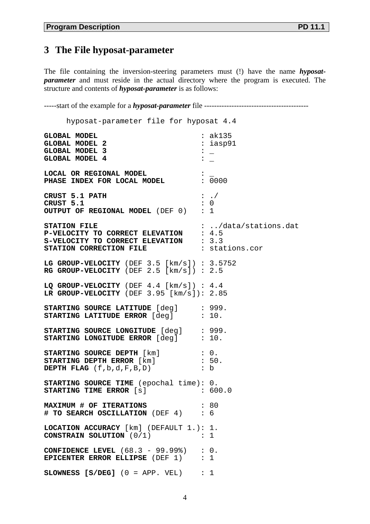The file containing the inversion-steering parameters must (!) have the name *hyposatparameter* and must reside in the actual directory where the program is executed. The structure and contents of *hyposat-parameter* is as follows:

-----start of the example for a *hyposat-parameter* file ------------------------------------------

 hyposat-parameter file for hyposat 4.4 GLOBAL MODEL<br>
GLOBAL MODEL 2 : ak135<br>
: iasp91 **GLOBAL MODEL 2** : ia<br>**GLOBAL MODEL 3** :  $\qquad \qquad$  :  $\qquad \qquad$ **GLOBAL MODEL 3** : \_ GLOBAL MODEL 4 **LOCAL OR REGIONAL MODEL**  $\qquad$  **: \_<br>PHASE INDEX FOR LOCAL MODEL**  $\qquad$  **: 0000** PHASE INDEX FOR LOCAL MODEL **CRUST 5.1 PATH** : ./<br> **CRUST 5.1** : 0 **CRUST 5.1** : 0 **OUTPUT OF REGIONAL MODEL** (DEF 0) : 1 **STATION FILE** : .../data/stations.dat **P-VELOCITY TO CORRECT ELEVATION** : 4.5 **S-VELOCITY TO CORRECT ELEVATION** : 3.3 **STATION CORRECTION FILE** : stations.cor **LG GROUP-VELOCITY** (DEF 3.5 [km/s]) : 3.5752 **RG GROUP-VELOCITY** (DEF 2.5 [km/s]) : 2.5 **LQ GROUP-VELOCITY** (DEF 4.4 [km/s]) : 4.4 **LR GROUP-VELOCITY** (DEF 3.95 [km/s]): 2.85 **STARTING SOURCE LATITUDE** [deg] : 999.<br>**STARTING LATITUDE ERROR** [deg] : 10. **STARTING LATITUDE ERROR**  $[deg]$ **STARTING SOURCE LONGITUDE** [deg] : 999. **STARTING LONGITUDE ERROR** [deg] : 10. **STARTING SOURCE DEPTH** [km] : 0.<br> **STARTING DEPTH ERROR** [km] : 50.<br> **DEPTH ELAC** (f ) = -**STARTING DEPTH ERROR** [km] : 50.<br>**DEPTH FLAG** (f,b,d,F,B,D) : b **DEPTH FLAG**  $(f, b, d, F, B, D)$ **STARTING SOURCE TIME** (epochal time): 0. **STARTING TIME ERROR** [s] : 600.0 **MAXIMUM # OF ITERATIONS : 80**<br>**# TO SEARCH OSCILLATION** (DEF 4) : 6 **# TO SEARCH OSCILLATION** (DEF 4) : 6 **LOCATION ACCURACY** [km] (DEFAULT 1.): 1. **CONSTRAIN SOLUTION** (0/1) : 1 **CONFIDENCE LEVEL** (68.3 - 99.99%) : 0.<br>**EPICENTER ERROR ELLIPSE** (DEF 1) : 1 **EPICENTER ERROR ELLIPSE** (DEF 1) **SLOWNESS [S/DEG]** (0 = APP. VEL) : 1

4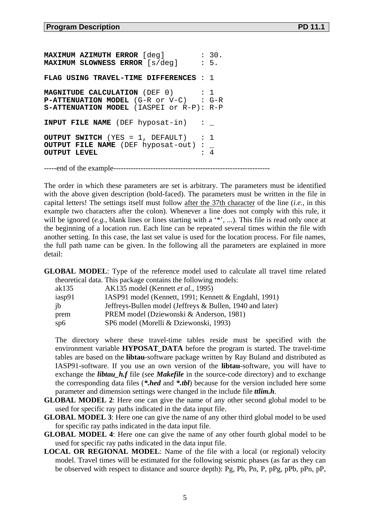**MAXIMUM AZIMUTH ERROR** [deg] : 30.<br>**MAXIMUM SLOWNESS ERROR** [s/deg] : 5. **MAXIMUM SLOWNESS ERROR** [s/deg] **FLAG USING TRAVEL-TIME DIFFERENCES** : 1 **MAGNITUDE CALCULATION** (DEF 0) : 1<br>**P-ATTENUATION MODEL** (G-R or V-C) : G-R **P-ATTENUATION MODEL** (G-R or V-C) **S-ATTENUATION MODEL** (IASPEI or R-P): R-P **INPUT FILE NAME** (DEF hyposat-in) **OUTPUT SWITCH** (YES = 1, DEFAULT) : 1 **OUTPUT FILE NAME** (DEF hyposat-out) **OUTPUT LEVEL** -----end of the example---------------------------------------------------------------

The order in which these parameters are set is arbitrary. The parameters must be identified with the above given description (bold-faced). The parameters must be written in the file in capital letters! The settings itself must follow after the 37th character of the line (*i.e.,* in this example two characters after the colon). Whenever a line does not comply with this rule, it will be ignored (*e.g.*, blank lines or lines starting with a '\*', ...). This file is read only once at the beginning of a location run. Each line can be repeated several times within the file with another setting. In this case, the last set value is used for the location process. For file names, the full path name can be given. In the following all the parameters are explained in more detail:

**GLOBAL MODEL**: Type of the reference model used to calculate all travel time related theoretical data. This package contains the following models:

| ak135  | AK135 model (Kennett et al., 1995)                        |
|--------|-----------------------------------------------------------|
| iasp91 | IASP91 model (Kennett, 1991; Kennett & Engdahl, 1991)     |
| jb     | Jeffreys-Bullen model (Jeffreys & Bullen, 1940 and later) |
| prem   | PREM model (Dziewonski & Anderson, 1981)                  |
| sp6    | SP6 model (Morelli & Dziewonski, 1993)                    |

The directory where these travel-time tables reside must be specified with the environment variable **HYPOSAT\_DATA** before the program is started. The travel-time tables are based on the **libtau**-software package written by Ray Buland and distributed as IASP91-software. If you use an own version of the **libtau**-software, you will have to exchange the *libtau\_h.f* file (see *Makefile* in the source-code directory) and to exchange the corresponding data files (*\*.hed* and *\*.tbl*) because for the version included here some parameter and dimension settings were changed in the include file *ttlim.h*.

- **GLOBAL MODEL 2**: Here one can give the name of any other second global model to be used for specific ray paths indicated in the data input file.
- **GLOBAL MODEL 3**: Here one can give the name of any other third global model to be used for specific ray paths indicated in the data input file.
- **GLOBAL MODEL 4**: Here one can give the name of any other fourth global model to be used for specific ray paths indicated in the data input file.
- **LOCAL OR REGIONAL MODEL**: Name of the file with a local (or regional) velocity model. Travel times will be estimated for the following seismic phases (as far as they can be observed with respect to distance and source depth): Pg, Pb, Pn, P, pPg, pPb, pPn, pP,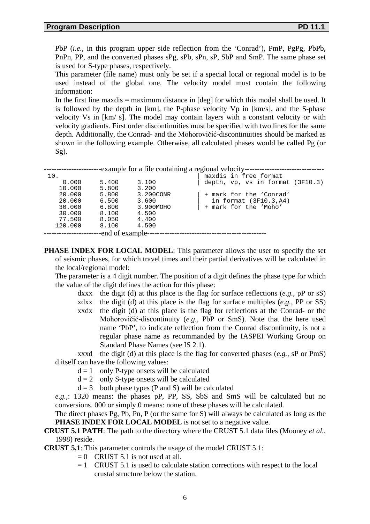PbP (*i.e.,* in this program upper side reflection from the 'Conrad'), PmP, PgPg, PbPb, PnPn, PP, and the converted phases sPg, sPb, sPn, sP, SbP and SmP. The same phase set is used for S-type phases, respectively.

This parameter (file name) must only be set if a special local or regional model is to be used instead of the global one. The velocity model must contain the following information:

In the first line maxdis = maximum distance in [deg] for which this model shall be used. It is followed by the depth in [km], the P-phase velocity Vp in [km/s], and the S-phase velocity Vs in [km/ s]. The model may contain layers with a constant velocity or with velocity gradients. First order discontinuities must be specified with two lines for the same depth. Additionally, the Conrad- and the Mohorovičić-discontinuities should be marked as shown in the following example. Otherwise, all calculated phases would be called Pg (or Sg).

|         |                  | -example for a file containing a regional velocity------- |                                  |  |  |  |  |  |  |  |  |  |
|---------|------------------|-----------------------------------------------------------|----------------------------------|--|--|--|--|--|--|--|--|--|
|         |                  |                                                           |                                  |  |  |  |  |  |  |  |  |  |
| 10.     |                  |                                                           | maxdis in free format            |  |  |  |  |  |  |  |  |  |
| 0.000   | 5.400            | 3.100                                                     | depth, vp, vs in format (3F10.3) |  |  |  |  |  |  |  |  |  |
| 10.000  | 5.800            | 3.200                                                     |                                  |  |  |  |  |  |  |  |  |  |
| 20,000  | 5.800            | 3.200CONR                                                 | + mark for the 'Conrad'          |  |  |  |  |  |  |  |  |  |
| 20.000  | 6.500            | 3.600                                                     | in format $(3F10.3, A4)$         |  |  |  |  |  |  |  |  |  |
| 30.000  | 6.800            | 3.900MOHO                                                 | + mark for the 'Moho'            |  |  |  |  |  |  |  |  |  |
| 30.000  | 8,100            | 4.500                                                     |                                  |  |  |  |  |  |  |  |  |  |
| 77.500  | 8.050            | 4.400                                                     |                                  |  |  |  |  |  |  |  |  |  |
| 120.000 | 8,100            | 4.500                                                     |                                  |  |  |  |  |  |  |  |  |  |
|         | -end of example- |                                                           |                                  |  |  |  |  |  |  |  |  |  |
|         |                  |                                                           |                                  |  |  |  |  |  |  |  |  |  |

**PHASE INDEX FOR LOCAL MODEL:** This parameter allows the user to specify the set of seismic phases, for which travel times and their partial derivatives will be calculated in the local/regional model:

The parameter is a 4 digit number. The position of a digit defines the phase type for which the value of the digit defines the action for this phase:

- dxxx the digit (d) at this place is the flag for surface reflections (*e.g.*, pP or sS)
- xdxx the digit (d) at this place is the flag for surface multiples (*e.g.*, PP or SS)
- xxdx the digit (d) at this place is the flag for reflections at the Conrad- or the Mohorovičić-discontinuity (*e.g.*, PbP or SmS). Note that the here used name 'PbP', to indicate reflection from the Conrad discontinuity, is not a regular phase name as recommanded by the IASPEI Working Group on Standard Phase Names (see IS 2.1).

xxxd the digit (d) at this place is the flag for converted phases (*e.g.*, sP or PmS) d itself can have the following values:

- $d = 1$  only P-type onsets will be calculated
- $d = 2$  only S-type onsets will be calculated
- $d = 3$  both phase types (P and S) will be calculated

*e.g.,*: 1320 means: the phases pP, PP, SS, SbS and SmS will be calculated but no conversions. 000 or simply 0 means: none of these phases will be calculated.

The direct phases Pg, Pb, Pn, P (or the same for S) will always be calculated as long as the PHASE INDEX FOR LOCAL MODEL is not set to a negative value.

#### **CRUST 5.1 PATH**: The path to the directory where the CRUST 5.1 data files (Mooney *et al.*, 1998) reside.

**CRUST 5.1**: This parameter controls the usage of the model CRUST 5.1:

- $= 0$  CRUST 5.1 is not used at all.
- $= 1$  CRUST 5.1 is used to calculate station corrections with respect to the local crustal structure below the station.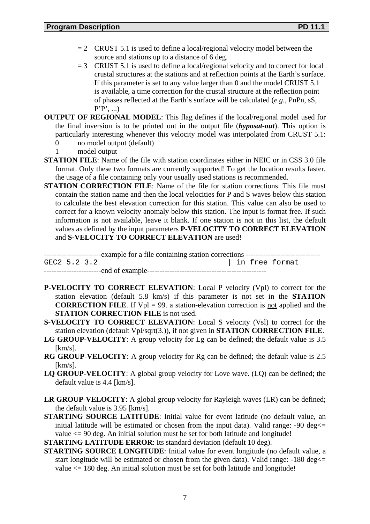- $= 2$  CRUST 5.1 is used to define a local/regional velocity model between the source and stations up to a distance of 6 deg.
- $= 3$  CRUST 5.1 is used to define a local/regional velocity and to correct for local crustal structures at the stations and at reflection points at the Earth's surface. If this parameter is set to any value larger than 0 and the model CRUST 5.1 is available, a time correction for the crustal structure at the reflection point of phases reflected at the Earth's surface will be calculated (*e.g.*, PnPn, sS, P'P', ...)
- **OUTPUT OF REGIONAL MODEL**: This flag defines if the local/regional model used for the final inversion is to be printed out in the output file (*hyposat-out*). This option is particularly interesting whenever this velocity model was interpolated from CRUST 5.1:
	- 0 no model output (default)
	- 1 model output
- **STATION FILE**: Name of the file with station coordinates either in NEIC or in CSS 3.0 file format. Only these two formats are currently supported! To get the location results faster, the usage of a file containing only your usually used stations is recommended.
- **STATION CORRECTION FILE:** Name of the file for station corrections. This file must contain the station name and then the local velocities for P and S waves below this station to calculate the best elevation correction for this station. This value can also be used to correct for a known velocity anomaly below this station. The input is format free. If such information is not available, leave it blank. If one station is not in this list, the default values as defined by the input parameters **P-VELOCITY TO CORRECT ELEVATION** and **S-VELOCITY TO CORRECT ELEVATION** are used!

-----------------------example for a file containing station corrections ------------------------------ GEC2 5.2 3.2 | in free format -----------------------end of example------------------------------------------------

- **P-VELOCITY TO CORRECT ELEVATION**: Local P velocity (Vpl) to correct for the station elevation (default 5.8 km/s) if this parameter is not set in the **STATION CORRECTION FILE**. If  $Vpl = 99$ . a station-elevation correction is not applied and the **STATION CORRECTION FILE** is not used.
- **S-VELOCITY TO CORRECT ELEVATION**: Local S velocity (Vsl) to correct for the station elevation (default Vpl/sqrt(3.)), if not given in **STATION CORRECTION FILE**.
- LG GROUP-VELOCITY: A group velocity for Lg can be defined; the default value is 3.5 [km/s].
- **RG GROUP-VELOCITY**: A group velocity for Rg can be defined; the default value is 2.5  $[km/s]$ .
- **LQ GROUP-VELOCITY**: A global group velocity for Love wave. (LQ) can be defined; the default value is 4.4 [km/s].
- **LR GROUP-VELOCITY**: A global group velocity for Rayleigh waves (LR) can be defined; the default value is 3.95 [km/s].
- **STARTING SOURCE LATITUDE**: Initial value for event latitude (no default value, an initial latitude will be estimated or chosen from the input data). Valid range:  $-90 \text{ deg} \le$ value  $\leq$  90 deg. An initial solution must be set for both latitude and longitude!

**STARTING LATITUDE ERROR**: Its standard deviation (default 10 deg).

**STARTING SOURCE LONGITUDE**: Initial value for event longitude (no default value, a start longitude will be estimated or chosen from the given data). Valid range:  $-180 \text{ deg} \le$ value <= 180 deg. An initial solution must be set for both latitude and longitude!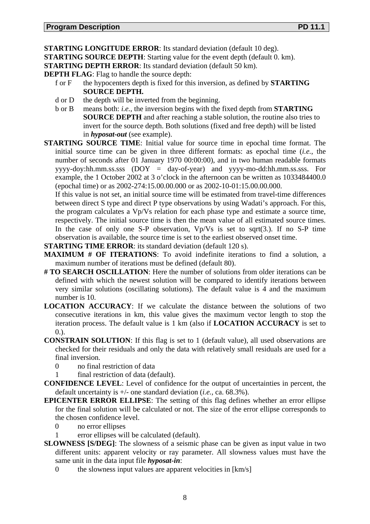**STARTING LONGITUDE ERROR:** Its standard deviation (default 10 deg).

**STARTING SOURCE DEPTH**: Starting value for the event depth (default 0. km).

**STARTING DEPTH ERROR:** Its standard deviation (default 50 km).

**DEPTH FLAG**: Flag to handle the source depth:

- f or F the hypocenters depth is fixed for this inversion, as defined by **STARTING SOURCE DEPTH.**
- d or D the depth will be inverted from the beginning.
- b or B means both: *i.e.,* the inversion begins with the fixed depth from **STARTING SOURCE DEPTH** and after reaching a stable solution, the routine also tries to invert for the source depth. Both solutions (fixed and free depth) will be listed in *hyposat-out* (see example).
- **STARTING SOURCE TIME**: Initial value for source time in epochal time format. The initial source time can be given in three different formats: as epochal time (*i.e.*, the number of seconds after 01 January 1970 00:00:00), and in two human readable formats yyyy-doy:hh.mm.ss.sss (DOY = day-of-year) and yyyy-mo-dd:hh.mm.ss.sss. For example, the 1 October 2002 at 3 o'clock in the afternoon can be written as 1033484400.0 (epochal time) or as 2002-274:15.00.00.000 or as 2002-10-01:15.00.00.000.

If this value is not set, an initial source time will be estimated from travel-time differences between direct S type and direct P type observations by using Wadati's approach. For this, the program calculates a Vp/Vs relation for each phase type and estimate a source time, respectively. The initial source time is then the mean value of all estimated source times. In the case of only one S-P observation,  $Vp/Vs$  is set to sqrt(3.). If no S-P time observation is available, the source time is set to the earliest observed onset time.

- **STARTING TIME ERROR:** its standard deviation (default 120 s).
- **MAXIMUM # OF ITERATIONS**: To avoid indefinite iterations to find a solution, a maximum number of iterations must be defined (default 80).
- **# TO SEARCH OSCILLATION**: Here the number of solutions from older iterations can be defined with which the newest solution will be compared to identify iterations between very similar solutions (oscillating solutions). The default value is 4 and the maximum number is 10.
- **LOCATION ACCURACY**: If we calculate the distance between the solutions of two consecutive iterations in km, this value gives the maximum vector length to stop the iteration process. The default value is 1 km (also if **LOCATION ACCURACY** is set to  $(0.6)$ .
- **CONSTRAIN SOLUTION**: If this flag is set to 1 (default value), all used observations are checked for their residuals and only the data with relatively small residuals are used for a final inversion.
	- 0 no final restriction of data
	- 1 final restriction of data (default).
- **CONFIDENCE LEVEL**: Level of confidence for the output of uncertainties in percent, the default uncertainty is +/- one standard deviation (*i.e.,* ca. 68.3%).
- **EPICENTER ERROR ELLIPSE**: The setting of this flag defines whether an error ellipse for the final solution will be calculated or not. The size of the error ellipse corresponds to the chosen confidence level.
	- 0 no error ellipses
	- 1 error ellipses will be calculated (default).
- **SLOWNESS [S/DEG]**: The slowness of a seismic phase can be given as input value in two different units: apparent velocity or ray parameter. All slowness values must have the same unit in the data input file *hyposat-in*:
	- 0 the slowness input values are apparent velocities in  $[km/s]$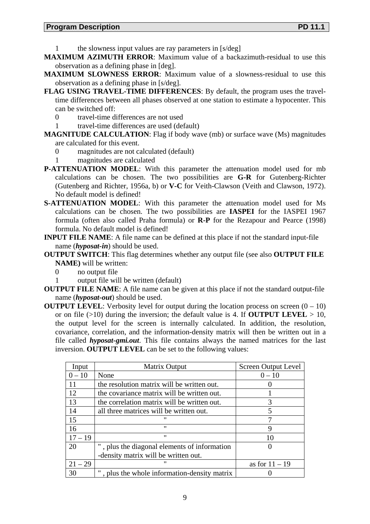- 1 the slowness input values are ray parameters in [s/deg]
- **MAXIMUM AZIMUTH ERROR**: Maximum value of a backazimuth-residual to use this observation as a defining phase in [deg].
- **MAXIMUM SLOWNESS ERROR**: Maximum value of a slowness-residual to use this observation as a defining phase in [s/deg].
- **FLAG USING TRAVEL-TIME DIFFERENCES**: By default, the program uses the traveltime differences between all phases observed at one station to estimate a hypocenter. This can be switched off:
	- 0 travel-time differences are not used
	- 1 travel-time differences are used (default)
- **MAGNITUDE CALCULATION:** Flag if body wave (mb) or surface wave (Ms) magnitudes are calculated for this event.
	- 0 magnitudes are not calculated (default)<br>1 magnitudes are calculated
	- magnitudes are calculated
- **P-ATTENUATION MODEL**: With this parameter the attenuation model used for mb calculations can be chosen. The two possibilities are **G-R** for Gutenberg-Richter (Gutenberg and Richter, 1956a, b) or **V-C** for Veith-Clawson (Veith and Clawson, 1972). No default model is defined!
- **S-ATTENUATION MODEL**: With this parameter the attenuation model used for Ms calculations can be chosen. The two possibilities are **IASPEI** for the IASPEI 1967 formula (often also called Praha formula) or **R-P** for the Rezapour and Pearce (1998) formula. No default model is defined!
- **INPUT FILE NAME**: A file name can be defined at this place if not the standard input-file name (*hyposat-in*) should be used.
- **OUTPUT SWITCH**: This flag determines whether any output file (see also **OUTPUT FILE NAME)** will be written:
	- 0 no output file
	- 1 output file will be written (default)
- **OUTPUT FILE NAME**: A file name can be given at this place if not the standard output-file name (*hyposat-out*) should be used.
- **OUTPUT LEVEL:** Verbosity level for output during the location process on screen  $(0 10)$ or on file  $(>10)$  during the inversion; the default value is 4. If **OUTPUT LEVEL**  $> 10$ , the output level for the screen is internally calculated. In addition, the resolution, covariance, correlation, and the information-density matrix will then be written out in a file called *hyposat-gmi.out*. This file contains always the named matrices for the last inversion. **OUTPUT LEVEL** can be set to the following values:

| Input     | Matrix Output                                | <b>Screen Output Level</b> |
|-----------|----------------------------------------------|----------------------------|
| $0 - 10$  | None                                         | $0 - 10$                   |
| 11        | the resolution matrix will be written out.   |                            |
| 12        | the covariance matrix will be written out.   |                            |
| 13        | the correlation matrix will be written out.  | 3                          |
| 14        | all three matrices will be written out.      | 5                          |
| 15        |                                              |                            |
| 16        | $^{\prime\prime}$                            | 9                          |
| $17 - 19$ | $^{\prime\prime}$                            | 10                         |
| 20        | , plus the diagonal elements of information  |                            |
|           | -density matrix will be written out.         |                            |
| $21 - 29$ | "                                            | as for $11 - 19$           |
| 30        | ", plus the whole information-density matrix |                            |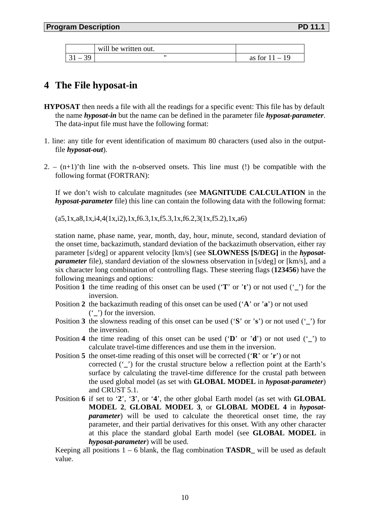|                          | will be written out. |                  |
|--------------------------|----------------------|------------------|
| $\overline{\phantom{0}}$ |                      | as for $11 - 19$ |

# **4 The File hyposat-in**

- **HYPOSAT** then needs a file with all the readings for a specific event: This file has by default the name *hyposat-in* but the name can be defined in the parameter file *hyposat-parameter*. The data-input file must have the following format:
- 1. line: any title for event identification of maximum 80 characters (used also in the outputfile *hyposat-out*).
- 2.  $(n+1)$ 'th line with the n-observed onsets. This line must (!) be compatible with the following format (FORTRAN):

If we don't wish to calculate magnitudes (see **MAGNITUDE CALCULATION** in the *hyposat-parameter* file) this line can contain the following data with the following format:

 $(a5,1x,a8,1x,i4,4(1x,i2),1x,f6.3,1x,f5.3,1x,f6.2,3(1x,f5.2),1x,a6)$ 

station name, phase name, year, month, day, hour, minute, second, standard deviation of the onset time, backazimuth, standard deviation of the backazimuth observation, either ray parameter [s/deg] or apparent velocity [km/s] (see **SLOWNESS [S/DEG]** in the *hyposatparameter* file), standard deviation of the slowness observation in [s/deg] or [km/s], and a six character long combination of controlling flags. These steering flags (**123456**) have the following meanings and options:

- Position **1** the time reading of this onset can be used ('**T**' or '**t**') or not used ('**\_**') for the inversion.
- Position **2** the backazimuth reading of this onset can be used ('**A**' or '**a**') or not used ('**\_**') for the inversion.
- Position **3** the slowness reading of this onset can be used ('**S**' or '**s**') or not used ('**\_**') for the inversion.
- Position **4** the time reading of this onset can be used ('**D**' or '**d**') or not used ('**\_**') to calculate travel-time differences and use them in the inversion.
- Position **5** the onset-time reading of this onset will be corrected ('**R**' or '**r**') or not corrected ( $\dot{\ }$ ) for the crustal structure below a reflection point at the Earth's surface by calculating the travel-time difference for the crustal path between the used global model (as set with **GLOBAL MODEL** in *hyposat-parameter*) and CRUST 5.1.
- Position **6** if set to '**2**', '**3**', or '**4**', the other global Earth model (as set with **GLOBAL MODEL 2**, **GLOBAL MODEL 3**, or **GLOBAL MODEL 4** in *hyposatparameter*) will be used to calculate the theoretical onset time, the ray parameter, and their partial derivatives for this onset. With any other character at this place the standard global Earth model (see **GLOBAL MODEL** in *hyposat-parameter*) will be used.

Keeping all positions  $1 - 6$  blank, the flag combination **TASDR**<sub>\_</sub> will be used as default value.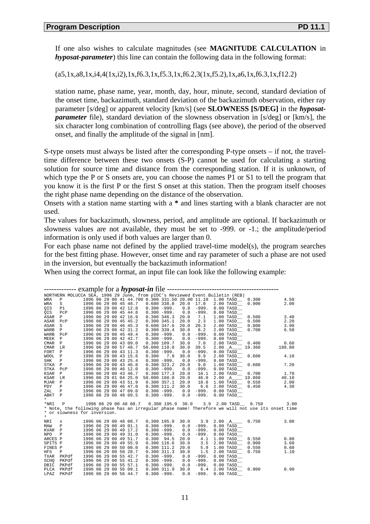If one also wishes to calculate magnitudes (see **MAGNITUDE CALCULATION** in *hyposat-parameter*) this line can contain the following data in the following format:

 $(a5,1x,a8,1x,i4,4(1x,i2),1x,f6.3,1x,f5.3,1x,f6.2,3(1x,f5.2),1x,a6,1x,f6.3,1x,f12.2)$ 

station name, phase name, year, month, day, hour, minute, second, standard deviation of the onset time, backazimuth, standard deviation of the backazimuth observation, either ray parameter [s/deg] or apparent velocity [km/s] (see **SLOWNESS [S/DEG]** in the *hyposatparameter* file), standard deviation of the slowness observation in [s/deg] or [km/s], the six character long combination of controlling flags (see above), the period of the observed onset, and finally the amplitude of the signal in [nm].

S-type onsets must always be listed after the corresponding P-type onsets – if not, the traveltime difference between these two onsets (S-P) cannot be used for calculating a starting solution for source time and distance from the corresponding station. If it is unknown, of which type the P or S onsets are, you can choose the names P1 or S1 to tell the program that you know it is the first P or the first S onset at this station. Then the program itself chooses the right phase name depending on the distance of the observation.

Onsets with a station name starting with a **\*** and lines starting with a blank character are not used.

The values for backazimuth, slowness, period, and amplitude are optional. If backazimuth or slowness values are not available, they must be set to -999. or -1.; the amplitude/period information is only used if both values are larger than 0.

For each phase name not defined by the applied travel-time model(s), the program searches for the best fitting phase. However, onset time and ray parameter of such a phase are not used in the inversion, but eventually the backazimuth information!

When using the correct format, an input file can look like the following example:

| NORTHERN MOLUCCA SEA, 1996 29 June, from pIDC's Reviewed Event Bulletin (REB) |                              |  |  |  |  |  |                       |                                                  |                 |                    |         |        |               |        |                                                                                                   |
|-------------------------------------------------------------------------------|------------------------------|--|--|--|--|--|-----------------------|--------------------------------------------------|-----------------|--------------------|---------|--------|---------------|--------|---------------------------------------------------------------------------------------------------|
| <b>WRA</b>                                                                    | $\, {\bf P}$                 |  |  |  |  |  |                       | 1996 06 29 00 41 44.700 0.300 331.50 20.00 11.10 |                 |                    |         |        | $1.00$ TASD   | 0.300  | 4.50                                                                                              |
| <b>WRA</b>                                                                    | S                            |  |  |  |  |  | 1996 06 29 00 45 48.7 |                                                  | $0.600$ 338.0   | 20.0               | 17.0    |        | 2.00 TASD     | 0.900  | 2.00                                                                                              |
| QIS                                                                           | P1                           |  |  |  |  |  | 1996 06 29 00 42 12.8 |                                                  | $0.300 - 999.$  | 0.0                | $-999.$ |        | $0.00$ TASD   |        |                                                                                                   |
| OIS                                                                           | PCP                          |  |  |  |  |  | 1996 06 29 00 45 44.8 |                                                  | $0.300 - 999.$  | 0.0                | $-999.$ |        | $0.00$ TASD   |        |                                                                                                   |
| ASAR                                                                          | P                            |  |  |  |  |  | 1996 06 29 00 42 16.9 |                                                  | 0.300 346.3     | 20.0               | 7.1     |        | 1.00 TASD     | 0.500  | 3.40                                                                                              |
| ASAR                                                                          | PCP                          |  |  |  |  |  | 1996 06 29 00 45 45.2 |                                                  | 0.300 345.1     | 20.0               | 2.3     |        | $1.00$ TASD   | 0.500  | 2.20                                                                                              |
| ASAR                                                                          | S                            |  |  |  |  |  | 1996 06 29 00 46 45.3 |                                                  | 0.600 347.6     | 20.0               | 20.3    |        | 2.00 TASD     | 0.800  | 3.90                                                                                              |
| WARB                                                                          | P                            |  |  |  |  |  | 1996 06 29 00 42 31.2 |                                                  | 0.300 339.4     | 30.0               | 8.2     |        | 2.00 TASD     | 0.700  | 6.50                                                                                              |
| WARB                                                                          | PCP                          |  |  |  |  |  | 1996 06 29 00 45 49.4 |                                                  | $0.300 - 999.$  | 0.0                | $-999.$ |        | $0.00$ TASD   |        |                                                                                                   |
| MEEK                                                                          | $\mathbf{P}$                 |  |  |  |  |  | 1996 06 29 00 42 42.7 |                                                  | $0.300 - 999.$  | 0.0                | $-999.$ |        | $0.00$ TASD   |        |                                                                                                   |
| <b>CMAR</b>                                                                   | P                            |  |  |  |  |  | 1996 06 29 00 43 09.0 |                                                  | 0.300 109.7     | 30.0               | 7.8     |        | 2.00 TASD_    | 0.400  | 0.60                                                                                              |
| <b>CMAR</b>                                                                   | LR                           |  |  |  |  |  | 1996 06 29 00 57 48.7 | 50.000 110.0                                     |                 | 30.0               | 39.5    |        | 2.00 A        | 19.360 | 188.80                                                                                            |
| <b>FORT</b>                                                                   | $\, {\bf P}$                 |  |  |  |  |  | 1996 06 29 00 43 11.3 |                                                  | $0.300 - 999.$  | 0.0                | -999.   |        | $0.00$ TASD   |        |                                                                                                   |
| <b>WOOL</b>                                                                   | P                            |  |  |  |  |  | 1996 06 29 00 43 15.6 | 0.300                                            | 7.9             | 30.0               | 9.9     |        | $2.00$ TASD   | 0.600  | 4.10                                                                                              |
| <b>SHK</b>                                                                    | P                            |  |  |  |  |  | 1996 06 29 00 43 25.4 |                                                  | $0.300 - 999.$  | 0.0                | $-999.$ |        | $0.00$ TASD   |        |                                                                                                   |
| STKA                                                                          | P                            |  |  |  |  |  | 1996 06 29 00 43 46.8 |                                                  | 0.300 323.2     | 20.0               | 9.0     |        | $1.00$ TASD   | 0.600  | 7.20                                                                                              |
| <b>STKA</b>                                                                   | PCP                          |  |  |  |  |  | 1996 06 29 00 46 12.0 |                                                  | $0.300 - 999.$  | 0.0                | $-999.$ |        | $0.00$ TASD   |        |                                                                                                   |
| <b>KSAR</b>                                                                   | $\mathbb P$                  |  |  |  |  |  | 1996 06 29 00 43 46.7 |                                                  | 0.300 177.3     | 20.0               | 10.1    |        | 2.00 TASD     | 0.700  | 1.70                                                                                              |
| <b>KSAR</b>                                                                   | LR                           |  |  |  |  |  | 1996 06 29 01 04 25.0 | 50.000 160.0                                     |                 | 20.0               | 46.0    |        | 2.00 A        | 19.860 | 40.10                                                                                             |
| MJAR                                                                          | $\, {\bf P}$                 |  |  |  |  |  | 1996 06 29 00 43 51.9 |                                                  | 0.300 357.1     | 20.0               | 18.8    |        | 1.00 TASD     | 0.550  | 2.00                                                                                              |
| <b>PDY</b>                                                                    | Ρ                            |  |  |  |  |  | 1996 06 29 00 46 47.0 |                                                  | $0.300$ $111.2$ | 30.0               | 6.6     |        | 2.00 TASD     | 0.450  | 4.30                                                                                              |
| ZAL                                                                           | P                            |  |  |  |  |  | 1996 06 29 00 47 09.0 |                                                  | $0.300 - 999.$  | 0.0                | $-999.$ |        | $0.00$ TASD   |        |                                                                                                   |
| <b>ABKT</b><br>$\star$                                                        | P                            |  |  |  |  |  | 1996 06 29 00 48 09.5 |                                                  | $0.300 - 999.$  | 0.0                | $-999.$ |        | $0.00$ TASD   |        |                                                                                                   |
| $*_{\rm NRI}$                                                                 | P                            |  |  |  |  |  | 1996 06 29 00 48 08.7 |                                                  |                 | $0.300$ 195.9 30.0 |         |        | 3.9 2.00 TASD | 0.750  | 3.00                                                                                              |
|                                                                               |                              |  |  |  |  |  |                       |                                                  |                 |                    |         |        |               |        | * Note, the following phase has an irregular phase name! Therefore we will not use its onset time |
|                                                                               | * or slowness for inversion. |  |  |  |  |  |                       |                                                  |                 |                    |         |        |               |        |                                                                                                   |
| $\star$                                                                       |                              |  |  |  |  |  |                       |                                                  |                 |                    |         |        |               |        |                                                                                                   |
| NRI                                                                           | x                            |  |  |  |  |  | 1996 06 29 00 48 08.7 |                                                  | 0.300 195.9     | 30.0               | 3.9     | 2.00 A |               | 0.750  | 3.00                                                                                              |
| MAW                                                                           | $\, {\bf P}$                 |  |  |  |  |  | 1996 06 29 00 49 01.1 |                                                  | $0.300 - 999.$  | 0.0                | $-999.$ |        | $0.00$ TASD   |        |                                                                                                   |
| <b>KVAR</b>                                                                   | $\mathbf{P}$                 |  |  |  |  |  | 1996 06 29 00 49 17.2 |                                                  | $0.300 - 999.$  | 0.0                | $-999.$ |        | $0.00$ TASD   |        |                                                                                                   |
| <b>NPO</b>                                                                    | $\mathsf{P}$                 |  |  |  |  |  | 1996 06 29 00 49 31.0 |                                                  | $0.300 - 999.$  | 0.0                | $-999.$ |        | $0.00$ TASD   |        |                                                                                                   |
| ARCES P                                                                       |                              |  |  |  |  |  | 1996 06 29 00 49 51.7 | 0.300                                            | 94.5            | 20.0               | 4.1     |        | $1.00$ TASD   | 0.550  | 0.80                                                                                              |
| SPITS P                                                                       |                              |  |  |  |  |  | 1996 06 29 00 49 55.9 |                                                  | $0.300$ 116.6   | 30.0               | 3.5     |        | $2.00$ TASD   | 0.900  | 3.60                                                                                              |
| FINES P                                                                       |                              |  |  |  |  |  | 1996 06 29 00 50 00.0 |                                                  | $0.300$ 111.2   | 20.0               | 5.9     |        | $1.00$ TASD   | 0.550  | 0.60                                                                                              |
| HFS                                                                           | P                            |  |  |  |  |  | 1996 06 29 00 50 28.7 |                                                  | 0.300 311.3     | 30.0               | 1.5     |        | 2.00 TASD     | 0.750  | 1.10                                                                                              |
| <b>TXAR</b>                                                                   | PKPdf                        |  |  |  |  |  | 1996 06 29 00 55 42.7 |                                                  | $0.300 - 999.$  | 0.0                | $-999.$ |        | $0.00$ TASD   |        |                                                                                                   |
| SCHO                                                                          | PKPdf                        |  |  |  |  |  | 1996 06 29 00 55 41.2 |                                                  | $0.300 - 999.$  | 0.0                | $-999.$ |        | $0.00$ TASD   |        |                                                                                                   |
| DBIC                                                                          | PKPdf                        |  |  |  |  |  | 1996 06 29 00 55 57.1 |                                                  | $0.300 - 999.$  | 0.0                | $-999.$ |        | $0.00$ TASD   |        |                                                                                                   |
| PLCA                                                                          | PKPdf                        |  |  |  |  |  | 1996 06 29 00 56 09.1 |                                                  | 0.300311.9      | 30.0               | 6.4     |        | 2.00 TASD     | 0.900  | 0.90                                                                                              |
| LPAZ                                                                          | PKPdf                        |  |  |  |  |  | 1996 06 29 00 56 44.7 |                                                  | $0.300 - 999.$  | 0.0                | $-999.$ |        | $0.00$ TASD   |        |                                                                                                   |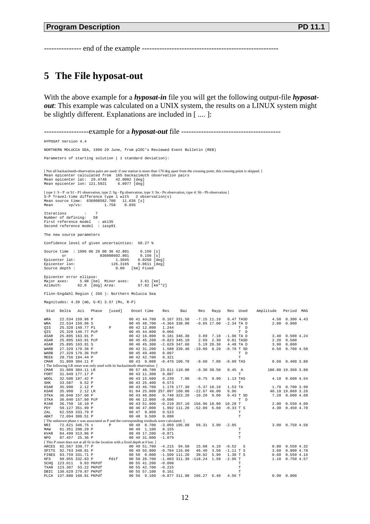--------------- end of the example -------------------------------------------------------

## **5 The File hyposat-out**

With the above example for a *hyposat-in* file you will get the following output-file *hyposatout*: This example was calculated on a UNIX system, the results on a LINUX system might be slightly different. Explanations are included in [ .... ]:

------------------example for a *hyposat-out* file ---------------------------------------- HYPOSAT Version 4.4 NORTHERN MOLUCCA SEA, 1996 29 June, from pIDC's Reviewed Event Bulletin (REB) Parameters of starting solution ( 1 standard deviation): [Notall backazimuth-observation pairs are used: if one station is more than 170 deg apart from the crossing point, this crossing point is skipped.]<br>Mean epicenter calculated from 165 backazimuth observation pairs<br>Mean epic [ type 1: S - P or S1 - P1 observation, type 2: Sg - Pg observation, type 3: Sn - Pn observation, type 4: Sb - Pb observation ] S-P Travel-time difference type 1 with 2 observation(s)<br>Mean source time: 836008582.700 11.636 [s]<br>Mean vp/vs: 1.758 0.035 Iterations : 7 Number of defining: 58 First reference model : ak135 Second reference model : iasp91 The new source parameters Confidence level of given uncertainties: 68.27 % Source time : 1996 06 29 00 36 42.801 0.150 [s]<br>
or 836008602.801 0.150 [s]<br>
Epicenter lat: 1.3045 0.0250 [deg]<br>
Epicenter lon: 126.3165 0.0611 [deg] Source depth : 0.00 [km] Fixed Epicenter error ellipse: Major axes: 5.98 [km] Minor axes: 3.61 [km] Azimuth: 62.0 [deg] Area: 67.82 [km\*\*2] Flinn-Engdahl Region ( 266 ): Northern Molucca Sea Magnitudes: 4.39 (mb, G-R) 3.57 (Ms, R-P) Stat Delta Azi Phase [used] Onset time Res Baz Res Rayp Res Used Amplitude Period MAG WRA 22.534 159.96 P 00 41 44.700 0.167 331.50 -7.15 11.10 0.47 TASD 4.50 0.300 4.43<br>WRA 22.534 159.96 S 00 45 48.700 -4.364 338.00 -0.65 17.00 -2.34 TAD 2.00 0.900 QIS 25.328 149.77 P1 P 00 42 12.800 1.244<br>QIS 25.328 149.77 PcP 00 45 44.800 0.066 T D ASAR 25.895 163.91 P<br>ASAR 25.895 163.91 PCP 00 42 16.900 0.1823 345.30 3.89 2.30 0.01 TASD 3.20 0.500 4.24<br>ASAR 25.895 163.91 PCP 00 46 45.300 -2.629 347.60 5.19 20.30 4.48 TAD 3.90 0.800 WARB 27.329 179.36 P 00 42 31.200 1.588 339.40 -19.89 8.20 -0.78 T SD 6.50 0.700 4.50<br>WARB 27.329 179.36 PcP 00 45 49.400 0.097 T D MARE 27.329 179.36 P<br>
WARE 27.329 179.36 P<br>
MARE 27.329 179.36 P<br>
MEEK 28.756 194.44 P<br>
MEEK 28.756 194.44 P<br>
MEEK 28.756 194.44 P<br>
MEEK 28.76 194.44 P<br>
MEEK 28.76 194.44 P<br>
MEEK 28.76 194.44 P<br>
MEEK 28.76 194.44 P<br>
MEEK 2 CMAR 31.809 304.11 P 00 43 9.000 -0.476 109.70 -9.60 7.80 -0.99 TAS 0.60 0.400 3.88 The following LR onset was only used with its backazimuth observation. ]<br>
CMAR 31.809 304.11 LR 00 57 48.700<br>
FORT 31.949 177.17 P 00 43 11.300 CMAR 31.949 304.11 LAC 10 57 4.10 0.600 43 46.800 0.239 7.90 -0.75 9.90 1.13 TAS 4.10 0.600 4.54<br>
FORT 31.949 177.17 P 00 43 15.600 0.807<br>
MOOL 32.500 187.42 P 00 43 15.600 0.239 7.90 -0.75 9.90 1.13 TAS 4.10 0.600 4.54<br> PDY 59.127 351.99 P<br>
PDY 59.127 351.99 P<br>
ZAL 62.559 333.79 P<br>
ABKT 72.094 309.51 P<br>
DO 47 9.000 0.523 11.20 -52.89 6.60 -0.33 T<br>
TRES 72.094 309.51 P<br>
DO 48 9.500 0.098 T ABKT 72.094 309.51 P 00 48 9.500 0.098<br>[The unknown phase x was associated as P and the corresponding residuals were calculated. ] NRI 72.621 346.75 x P 00 48 8.700 -3.059 195.90 56.31 3.90 -2.05<br>MAW 81.351 200.29 p 00 49 1.700 0.155 9<br>KVAR 84.499 313.86 P 00 49 17.200 -0.871 T T NPO 87.457 25.36 P 00 49 31.000 -1.079<br>[This P onset does not at all fit in the location with a fixed depth at 0 km.] ARCES 92.567 339.77 P 00 49 51.700 -4.215 94.50 15.08 4.10 -0.52 S 0.80 0.550 4.32 SPITS 92.763 348.81 P 00 49 55.900 -0.784 116.60 46.40 3.50 -1.11 T S 3.60 0.900 4.78 FINES 93.759 331.71 P 00 50 0.000 -1.509 111.20 30.82 5.90 1.30 T S 0.60 0.550 4.16 HFS 99.955 332.03 P Pdif 00 50 28.700 -1.003 311.30 -118.24 1.50 -2.95 T 1.10 0.750 4.57<br>SCHQ 123.011 9.03 PKPdf 00 55 41.200 -0.098<br>TXAR 123.387 53.22 PKPdf 00 55 42.700 -0.215 T DBIC 130.629 279.87 PKPdf 00 55 57.100 0.161 T PLCA 137.880 160.81 PKPdf 00 56 9.100 -0.877 311.90 106.27 6.40 4.56 T 0.90 0.900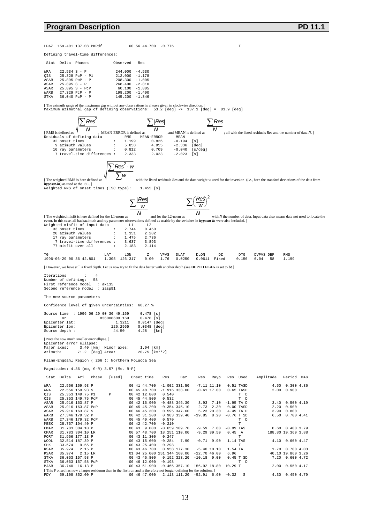#### **Program Description Program Description**

LPAZ 159.401 137.08 PKPdf 00 56 44.700 -0.776 T

Defining travel-time differences:

| $22.534 S - P$<br>244.000<br>WRA<br>OIS<br>$25.328$ PcP - P1<br>212.000<br>208,300<br>ASAR<br>$25.895$ PcP - P<br>$25.895 S - P$<br>268.400<br>ASAR<br>$25.895 S - PCP$<br>60.100<br>ASAR<br>198.200<br>$27.329$ PcP - P<br>WARR | Stat        | Delta Phases | Observed | Res                                                                              |
|----------------------------------------------------------------------------------------------------------------------------------------------------------------------------------------------------------------------------------|-------------|--------------|----------|----------------------------------------------------------------------------------|
| $36.040$ PcP - P                                                                                                                                                                                                                 | <b>STKA</b> |              | 145.200  | $-4.530$<br>$-1.178$<br>$-1.005$<br>$-2.810$<br>$-1.805$<br>$-1.490$<br>$-1.346$ |

[ The azimuth range of the maximum gap without any observations is always given in clockwise direction. ] Maximum azimuthal gap of defining observations: 53.2 [deg] -> 137.1 [deg] = 83.9 [deg]

[RMS is defined as  $\sqrt{\text{Residor}}$ *Res* 2 ∑  $\frac{2}{N}$ , MEAN-ERROR is defined as  $M$ <br>ta  $RMS$  MEAN-ERROR<br> $: 1.199$  0.826 ∑ *Res*  $\frac{2}{N}$ , and MEAN is defined as ∑*Res*  $\overline{N}$ ; all with the listed residuals *Res* and the number of data *N*. ] Residuals of defining data<br>
RMS MEAN-ERROR MEAN<br>
32 onset times<br>
9 azimuth values<br>  $\cdot$  5.858<br>  $\cdot$  4.955<br>  $-2.336$  32 onset times : 1.199 0.826 -0.194 [s] 9 azimuth values : 5.858 4.955 -2.336 [deg] 10 ray parameters : 0.812 0.709 -0.040 [s/deg] 7 travel-time differences : 2.333 2.023 -2.023 [s] [ The weighted RMS is here defined as  $\sum$  Res<sup>2</sup> · w ∑*<sup>w</sup>* -------------------------- with the listed residuals *Res* and the data weight *w* used for the inversion (*i.e.,* here the standard deviations of the data from *hyposat-in*) as used at the ISC. ] Weighted RMS of onset times (ISC type): 1.455 [s] [ The weighted misfit is here defined for the L1-norm as  $\sum \frac{|Res|}{w}$ <del>*N*</del> and for the L2-norm as *Res*  $\sum \left(\frac{Res}{W}\right)^2$ *<sup>N</sup>* ----------------------- with *N* the number of data. Input data also means data not used to locate the event. In this case, all backazimuth and ray parameter observations defined as usable by the switches in *hyposat-in* were also included. ]<br>Weighted misfit of input data  $\frac{L1}{2.744}$  0.450 Weighted misfit of input data 33 onset times : 2.744 0.450<br>
20 azimuth values : 1.351 2.282<br>
17 ray parameters : 1.475 2.736 20 azimuth values 17 ray parameters : 1.475 2.736 7 travel-time differences : 3.637 3.893 77 misfit over all T0 LAT LON Z VPVS DLAT DLON DZ DT0 DVPVS DEF RMS  $1.305$   $126.317$ [ However, we have still a fixed depth. Let us now try to fit the data better with another depth (see **DEPTH FLAG** is set to **b**! ] Iterations : 4 Number of defining: 58 First reference model : ak135 Second reference model : iasp91 The new source parameters Confidence level of given uncertainties: 68.27 % Source time : 1996 06 29 00 36 49.169 0.478 [s]<br>or 836008609.169 0.478 [s] 836008609.169 0.478 [s]<br>1.3211 0.0147 [deg] Epicenter lat: 1.3211 0.0147 [deg]<br>Epicenter lon: 126.2965 0.0348 [deg] Epicenter lon: 126.2965 0.0348 [deg] Source depth : [ Note the now much smaller error ellipse. ] Epicenter error ellipse: Major axes: 3.40 [km] Minor axes: 1.94 [km]  $\text{Azimuth:}$  71.2 [deg] Area: 20.75 [ $\text{km}^*2$ ] Flinn-Engdahl Region ( 266 ): Northern Molucca Sea Magnitudes: 4.36 (mb, G-R) 3.57 (Ms, R-P) Stat Delta Azi Phase [used] Onset time Res Baz Res Rayp Res Used Amplitude Period MAG WRA 22.556 159.93 P 00 41 44.700 -1.002 331.50 -7.11 11.10 0.51 TASD 4.50 0.300 4.36 WRA 22.556 159.93 S 00 45 48.700 -1.916 338.00 -0.61 17.00 0.65 TASD 25.353 149.75 P1 <br>212.800 0.540 T D<br>213.832 25.353 149.75 PcP 00 45 44.800 0.532 T D QIS 25.353 149.75 P1 P 00 42 12.800 0.540<br>QIS 25.353 149.75 PcP 00 45 44.800 0.532 T D ASAR 25.916 163.87 P 00 42 16.900 -0.488 346.30 3.93 7.10 -1.95 TA D 3.40 0.500 4.19 ASAR 25.916 163.87 PcP 00 45 45.200 -0.354 345.10 2.73 2.30 0.00 TASD 2.20 0.500 ASAR 25.916 163.87 S 00 46 45.300 0.595 347.60 5.23 20.30 4.49 TA D 3.90 0.800 WARB 27.346 179.32 P 00 42 31.200 0.983 339.40 -19.85 8.20 -0.76 T SD 6.50 0.700 4.41<br>WARB 27.346 179.32 PcP 00 45 49.400 0.570 T D MEEK 28.767 194.40 P<br>CMAR 31.783 304.10 P 00 42 42.700 -0.659 109.70 -9.59 7.80 -0.99 TAS 0.60 0.400 3.79<br>CMAR 31.783 304.10 LR 00 57 48.700 18.251 110.00 -9.29 39.50 0.45 A 188.80 19.360 3.88 FORT 31.966 177.13 P 00 43 11.300 0.247<br>FORT 31.966 177.13 P 00 43 11.300 0.247<br>WOOL 32.514 187.39 P 00 43 15.600 -0.284 7.90 -0.71 9.90 1.14 TAS WOOL 32.514 187.39 P 00 43 15.600 -0.284 7.90 -0.71 9.90 1.14 TAS 4.10 0.600 4.47 00 53.574 9.55 P 00 43 25.400 -0.298 P 0.71 9.90 1.14 TAK<br>SHK 33.574 9.55 P 00 43 25.400 0.298 P 0.298 P 2.55 P KSAR 35.974 2.15 P 00 43 46.700 0.958 177.30 -5.40 10.10 1.54 TA 1.70 0.700 4.03 KSAR 35.974 2.15 LR 01 04 25.000 251.344 160.00 -22.70 46.00 6.96 40.10 19.860 3.26 STKA 36.063 157.58 P 00 43 46.800 0.192 323.20 -10.18 9.00 0.45 T SD 7.20 0.600 4.72 STKA 36.063 157.58 PcP 00 46 12.000 -0.198 T D MJAR 36.740 16.13 P 00 43 51.900 -0.465 357.10 156.92 18.80 10.29 T 2.00 0.550 4.17 (This P onset has now a larger residuum than in the first run and is therefore not longer defining for the solution. ]<br>PDY 59.108 352.00 P 00 46 47.000 2.113 111.20 -52.91 6.60 -0.32 S 4.30 0.450 4.79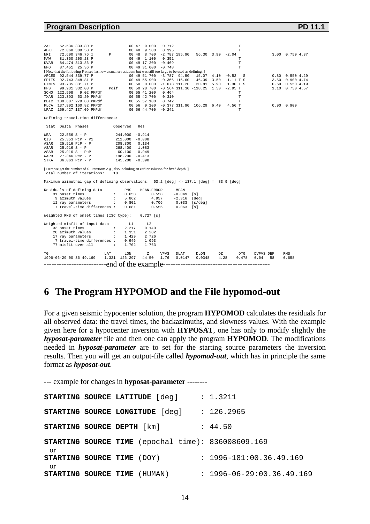#### **Program Description PD 11.1 Program Description**

| ZAL<br>ABKT<br>NRI<br>MAW<br>KVAR<br>NPO | 62.536 333.80 P<br>72.068 309.50 P<br>72.600 346.76 x<br>81.360 200.28 P<br>84.474 313.86 P<br>87.451 25.36 P                                                                                                                     | $\mathbb{P}$ |                                 | 00 47 9.000<br>00 48 9.500<br>00 49 1.100 | 0.712<br>0.395<br>0.351<br>00 49 17.200 -0.469<br>00 49 31.000 -0.748 | 00 48 8.700 -2.787 195.90 56.30 3.90 -2.04           |                 |        | T<br>T.<br>T.<br>т<br>$\mathbb T$ |           |    | 3.00 0.750 4.37       |
|------------------------------------------|-----------------------------------------------------------------------------------------------------------------------------------------------------------------------------------------------------------------------------------|--------------|---------------------------------|-------------------------------------------|-----------------------------------------------------------------------|------------------------------------------------------|-----------------|--------|-----------------------------------|-----------|----|-----------------------|
|                                          | [Note that the following P onset has now a smaller residuum but was still too large to be used as defining.]                                                                                                                      |              |                                 |                                           |                                                                       |                                                      |                 |        |                                   |           |    |                       |
|                                          | ARCES 92.544 339.77 P                                                                                                                                                                                                             |              |                                 |                                           |                                                                       | 00 49 51.700 -3.787 94.50 15.07 4.10 -0.52 S         |                 |        |                                   |           |    | $0.80$ $0.550$ $4.29$ |
|                                          | SPITS 92.743 348.81 P                                                                                                                                                                                                             |              |                                 |                                           |                                                                       | 00 49 55.900 -0.366 116.60 46.39 3.50 -1.11 T S      |                 |        |                                   |           |    | 3.60 0.900 4.74       |
|                                          | FINES 93.735 331.71 P                                                                                                                                                                                                             |              |                                 |                                           |                                                                       | 00 50 0.000 -1.073 111.20 30.81 5.90 1.30 T S        |                 |        |                                   |           |    | $0.60$ $0.550$ $4.19$ |
| HFS.                                     | 99.931 332.03 P                                                                                                                                                                                                                   |              |                                 |                                           |                                                                       | Pdif 00 50 28.700 -0.564 311.30 -118.25 1.50 -2.95 T |                 |        |                                   |           |    | 1.10 0.750 4.57       |
|                                          | SCHQ 122.998 9.02 PKPdf                                                                                                                                                                                                           |              |                                 |                                           | 00 55 41.200 0.464                                                    |                                                      |                 |        | т                                 |           |    |                       |
|                                          | TXAR 123.393 53.20 PKPdf                                                                                                                                                                                                          |              |                                 | 00 55 42.700                              | 0.310                                                                 |                                                      |                 |        | T                                 |           |    |                       |
|                                          | DBIC 130.607 279.88 PKPdf                                                                                                                                                                                                         |              |                                 |                                           | 00 55 57.100 0.742                                                    |                                                      |                 |        | т                                 |           |    |                       |
|                                          | PLCA 137.902 160.82 PKPdf                                                                                                                                                                                                         |              |                                 |                                           |                                                                       | 00 56 9.100 -0.377 311.90 106.29 6.40 4.56 T         |                 |        |                                   |           |    | $0.90 \quad 0.900$    |
|                                          | LPAZ 159.427 137.09 PKPdf                                                                                                                                                                                                         |              | $005644.700 -0.241$             |                                           |                                                                       |                                                      |                 |        | T.                                |           |    |                       |
|                                          | Defining travel-time differences:                                                                                                                                                                                                 |              |                                 |                                           |                                                                       |                                                      |                 |        |                                   |           |    |                       |
|                                          | Stat Delta Phases                                                                                                                                                                                                                 | Observed     |                                 | Res                                       |                                                                       |                                                      |                 |        |                                   |           |    |                       |
| WRA                                      | $22.556 S - P$                                                                                                                                                                                                                    |              | 244.000 -0.914                  |                                           |                                                                       |                                                      |                 |        |                                   |           |    |                       |
| OIS                                      | 25.353 PcP - P1                                                                                                                                                                                                                   |              |                                 |                                           |                                                                       |                                                      |                 |        |                                   |           |    |                       |
| ASAR                                     | 25.916 PcP - P                                                                                                                                                                                                                    |              | 212.000 -0.008<br>208.300 0.134 |                                           |                                                                       |                                                      |                 |        |                                   |           |    |                       |
| ASAR                                     | $25.916 S - P$                                                                                                                                                                                                                    |              | 268.400                         | 1.083                                     |                                                                       |                                                      |                 |        |                                   |           |    |                       |
| ASAR                                     | 25.916 S - PcP                                                                                                                                                                                                                    |              |                                 |                                           |                                                                       |                                                      |                 |        |                                   |           |    |                       |
| WARB                                     | $27.346$ PcP - P                                                                                                                                                                                                                  |              | 60.100 0.949<br>198.200 -0.413  |                                           |                                                                       |                                                      |                 |        |                                   |           |    |                       |
| STKA                                     | 36.063 PcP - P 145.200 -0.390                                                                                                                                                                                                     |              |                                 |                                           |                                                                       |                                                      |                 |        |                                   |           |    |                       |
|                                          | [ Here we get the number of all iterations $e.g.,$ also including an earlier solution for fixed depth. ]<br>Total number of iterations:<br>Maximum azimuthal gap of defining observations: 53.2 [deg] -> 137.1 [deg] = 83.9 [deg] | 18           |                                 |                                           |                                                                       |                                                      |                 |        |                                   |           |    |                       |
|                                          | Residuals of defining data                                                                                                                                                                                                        |              | RMS                             | MEAN-ERROR                                |                                                                       | MEAN                                                 |                 |        |                                   |           |    |                       |
|                                          | 31 onset times                                                                                                                                                                                                                    |              |                                 |                                           |                                                                       | $: 0.658$ $0.558$ $-0.049$ [s]                       |                 |        |                                   |           |    |                       |
|                                          |                                                                                                                                                                                                                                   |              |                                 |                                           |                                                                       |                                                      |                 |        |                                   |           |    |                       |
|                                          |                                                                                                                                                                                                                                   |              |                                 |                                           |                                                                       |                                                      |                 |        |                                   |           |    |                       |
|                                          | 9 azimuth values : 5.862<br>11 ray parameters : 6.801 0.706 0.033 [s/deg]<br>7 travel-time differences : 0.681 0.556 0.083 [s]                                                                                                    |              |                                 |                                           |                                                                       |                                                      |                 |        |                                   |           |    |                       |
|                                          | Weighted RMS of onset times (ISC type): 0.727 [s]                                                                                                                                                                                 |              |                                 |                                           |                                                                       |                                                      |                 |        |                                   |           |    |                       |
|                                          | Weighted misfit of input data L1                                                                                                                                                                                                  |              |                                 | L2                                        |                                                                       |                                                      |                 |        |                                   |           |    |                       |
|                                          | 33 onset times :                                                                                                                                                                                                                  |              | 2.217                           | 0.140                                     |                                                                       |                                                      |                 |        |                                   |           |    |                       |
|                                          |                                                                                                                                                                                                                                   |              |                                 | 2.282                                     |                                                                       |                                                      |                 |        |                                   |           |    |                       |
|                                          | 20 azimuth values : 1.351<br>17 ray parameters : 1.429                                                                                                                                                                            |              |                                 | 2.726                                     |                                                                       |                                                      |                 |        |                                   |           |    |                       |
|                                          | 7 travel-time differences: 0.946                                                                                                                                                                                                  |              |                                 | 1.093                                     |                                                                       |                                                      |                 |        |                                   |           |    |                       |
|                                          | 77 misfit over all :                                                                                                                                                                                                              |              | 1.702                           | 1.763                                     |                                                                       |                                                      |                 |        |                                   |           |    |                       |
|                                          |                                                                                                                                                                                                                                   |              |                                 |                                           |                                                                       |                                                      |                 |        |                                   |           |    |                       |
| T0                                       | 1996-06-29 00 36 49.169 1.321 126.297                                                                                                                                                                                             | LAT          | LON                             | z                                         | VPVS                                                                  | DLAT                                                 | DLON            | DZ DTO |                                   | DVPVS DEF |    | RMS                   |
|                                          |                                                                                                                                                                                                                                   |              |                                 |                                           | 44.50 1.76                                                            |                                                      | $0.0147$ 0.0348 | 4.28   | 0.478                             | 0.04      | 58 | 0.658                 |
|                                          |                                                                                                                                                                                                                                   |              |                                 |                                           |                                                                       |                                                      |                 |        |                                   |           |    |                       |

## **6 The Program HYPOMOD and the File hypomod-out**

For a given seismic hypocenter solution, the program **HYPOMOD** calculates the residuals for all observed data: the travel times, the backazimuths, and slowness values. With the example given here for a hypocenter inversion with **HYPOSAT**, one has only to modify slightly the *hyposat-parameter* file and then one can apply the program **HYPOMOD**. The modifications needed in *hyposat-parameter* are to set for the starting source parameters the inversion results. Then you will get an output-file called *hypomod-out*, which has in principle the same format as *hyposat-out*.

**---** example for changes in **hyposat-parameter --------**

|                                    |  | STARTING SOURCE LATITUDE [deq]  | : 1.3211                                                  |
|------------------------------------|--|---------------------------------|-----------------------------------------------------------|
|                                    |  | STARTING SOURCE LONGITUDE [deq] | : 126.2965                                                |
| STARTING SOURCE DEPTH [km]         |  |                                 | : 44.50                                                   |
| <sub>or</sub>                      |  |                                 | <b>STARTING SOURCE TIME</b> (epochal time): 836008609.169 |
| <b>STARTING SOURCE TIME</b> (DOY)  |  |                                 | $: 1996 - 181:00.36.49.169$                               |
| or<br>STARTING SOURCE TIME (HUMAN) |  |                                 | $: 1996 - 06 - 29:00.36.49.169$                           |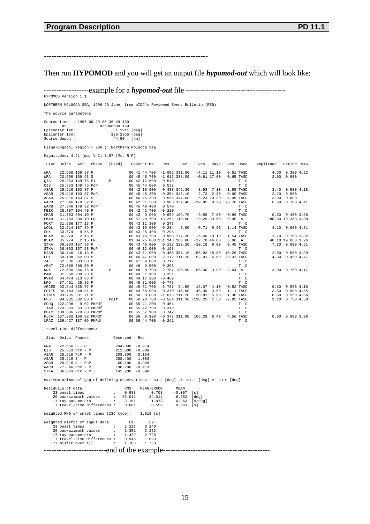**------------------------------------------------------------------**

Then run **HYPOMOD** and you will get an output file *hypomod-out* which will look like:

------------------example for a *hypomod-out* file ---------------------------------------- HYPOMOD Version 1.1

NORTHERN MOLUCCA SEA, 1996 29 June, from pIDC's Reviewed Event Bulletin (REB)

The source parameters

Source time : 1996 06 29 00 36 49.169<br>
or 836008609.169<br>
Epicenter lat: 1.3211 [deg]<br>
Epicenter lon: 126.2965 [deg]<br>
Source depth : 44.50 [km]

Flinn-Engdahl Region ( 266 ): Northern Molucca Sea

Magnitudes: 4.21 (mb, V-C) 3.57 (Ms, R-P)

|             | Stat Delta               | Azi               | Phase      | [used]      |       | Onset time   | Res                                      | Baz             | Res                                       | Rayp                     |              | Res Used                                               | Amplitude | Period MAG          |  |
|-------------|--------------------------|-------------------|------------|-------------|-------|--------------|------------------------------------------|-----------------|-------------------------------------------|--------------------------|--------------|--------------------------------------------------------|-----------|---------------------|--|
| WRA         |                          | 22.556 159.93 P   |            |             |       | 00 41 44.700 | $-1.002$ 331.50                          |                 |                                           | $-7.11$ $11.10$          |              | $0.51$ TASD                                            |           | 4.50 0.300 4.22     |  |
| WRA         |                          | 22.556 159.93 S   |            |             |       | 00 45 48.700 | $-1.916$ 338.00                          |                 |                                           | $-0.61$ 17.00            |              | $0.65$ TASD                                            |           | 2.00 0.900          |  |
| OIS         |                          | 25.353 149.75 P1  |            | P           |       | 00 42 12,800 | 0.540                                    |                 |                                           |                          |              | T D                                                    |           |                     |  |
| OIS         |                          | 25.353 149.75 PcP |            |             |       | 00 45 44.800 | 0.532                                    |                 |                                           |                          |              | T D                                                    |           |                     |  |
| ASAR        |                          | 25.916 163.87 P   |            |             |       | 00 42 16.900 |                                          | $-0.488$ 346.30 |                                           | $3.93 \quad 7.10$        | $-1.95$ TASD |                                                        |           | 3.40 0.500 4.18     |  |
| ASAR        |                          | 25.916 163.87 PcP |            |             |       | 00 45 45.200 |                                          | $-0.354$ 345.10 |                                           | $2.73$ 2.30              |              | $0.00$ TASD                                            |           | $2.20 \quad 0.500$  |  |
| ASAR        |                          | 25.916 163.87 S   |            |             |       | 00 46 45.300 |                                          | 0.595 347.60    |                                           | 5.23 20.30               |              | 4.49 TASD                                              |           | 3.90 0.800          |  |
| WARB        |                          | 27.346 179.32 P   |            |             |       | 00 42 31.200 |                                          |                 | $0.983$ 339.40 -19.85 8.20 -0.76 TASD     |                          |              |                                                        |           | 6.50 0.700 4.41     |  |
| WARB        |                          | 27.346 179.32 PcP |            |             |       | 00 45 49.400 | 0.570                                    |                 |                                           |                          |              | T D                                                    |           |                     |  |
| MEEK        |                          | 28.767 194.40 P   |            |             |       | 00 42 42.700 | $-0.210$                                 |                 |                                           |                          |              | T D                                                    |           |                     |  |
| CMAR        |                          | 31.783 304.10 P   |            |             |       | 00 43 9.000  |                                          |                 | $-0.659$ 109.70 $-9.59$ 7.80 $-0.99$ TASD |                          |              |                                                        |           | $0.60$ $0.400$ 3.66 |  |
| <b>CMAR</b> |                          | 31.783 304.10 LR  |            |             |       | 00 57 48.700 | 18.252 110.00                            |                 |                                           | $-9.29$ 39.50            | 0.45 A       |                                                        |           | 188.80 19.360 3.88  |  |
| FORT        |                          | 31.966 177.13 P   |            |             |       | 00 43 11,300 | 0.247                                    |                 |                                           |                          |              | T D                                                    |           |                     |  |
| <b>WOOL</b> |                          | 32.514 187.39 P   |            |             |       | 00 43 15,600 | $-0.284$                                 | 7.90            | $-0.71$ 9.90                              |                          |              | 1.14 TASD                                              |           | 4.10 0.600 4.31     |  |
| SHK         | 33.574                   | 9.55P             |            |             |       | 00 43 25.400 | 0.298                                    |                 |                                           |                          |              | T D                                                    |           |                     |  |
| KSAR        | 35.974                   | $2.15$ P          |            |             |       | 00 43 46.700 |                                          |                 | $0.958$ 177.30 $-5.40$ 10.10              |                          |              | 1.54 TASD                                              |           | 1.70 0.700 3.82     |  |
| <b>KSAR</b> | 35.974                   | 2.15 LR           |            |             |       |              | 01 04 25,000 251,343 160.00 -22,70 46.00 |                 |                                           |                          | 6.96A        |                                                        |           | 40.10 19.860 3.26   |  |
| <b>STKA</b> |                          | 36.063 157.58 P   |            |             |       | 00 43 46.800 |                                          |                 | $0.192$ 323.20 $-10.18$ 9.00              |                          |              | $0.45$ TASD                                            |           | 7.20 0.600 4.51     |  |
| STKA        |                          | 36.063 157.58 PcP |            |             |       | 00 46 12,000 | $-0.198$                                 |                 |                                           |                          |              | T D                                                    |           |                     |  |
| MJAR        |                          | 36.740 16.13 P    |            |             |       | 00 43 51.900 |                                          |                 | $-0.465$ 357.10 156.92 18.80              |                          | 10.29 TASD   |                                                        |           | 2.00 0.550 3.99     |  |
| PDY         |                          | 59.108 352.00 P   |            |             |       | 00 46 47,000 |                                          |                 | 2.112 111.20 -52.91 6.60 -0.32 TASD       |                          |              |                                                        |           | 4.30 0.450 4.47     |  |
| ZAL         |                          | 62.536 333.80 P   |            |             |       | 00 47 9.000  | 0.712                                    |                 |                                           |                          |              | T D                                                    |           |                     |  |
| ABKT        |                          | 72.068 309.50 P   |            |             | 00 48 | 9.500        | 0.395                                    |                 |                                           |                          |              | T D                                                    |           |                     |  |
| NRI         |                          | 72.600 346.76 x   |            | $\mathbb P$ | 00 48 | 8.700        |                                          | $-2.787$ 195.90 |                                           | $56.30$ $3.90$ $-2.04$ A |              |                                                        |           | 3.00 0.750 4.17     |  |
| MAW         |                          | 81.360 200.28 P   |            |             | 00 49 | 1,100        | 0.351                                    |                 |                                           |                          |              | T D                                                    |           |                     |  |
| <b>KVAR</b> |                          | 84.474 313.86 P   |            |             |       | 00 49 17.200 | $-0.469$                                 |                 |                                           |                          |              | T D                                                    |           |                     |  |
| NPO         |                          | 87.451 25.36 P    |            |             |       | 00 49 31,000 | $-0.748$                                 |                 |                                           |                          |              | T D                                                    |           |                     |  |
| ARCES       | 92.544 339.77 P          |                   |            |             |       | 00 49 51.700 |                                          |                 | $-3.787$ 94.50 15.07 4.10 $-0.52$ TASD    |                          |              |                                                        |           | $0.80$ $0.550$ 4.10 |  |
| SPITS       | 92.743 348.81 P          |                   |            |             |       | 00 49 55.900 | $-0.370$ 116.60                          |                 |                                           | 46.39 3.50 -1.11 TASD    |              |                                                        |           | 3.60 0.900 4.55     |  |
| FINES       | 93.735 331.71 P          |                   |            |             |       | 00 50 0.000  | $-1.073$ 111.20                          |                 |                                           | 30.81 5.90               |              | 1.30 TASD                                              |           | $0.60$ $0.550$ 4.06 |  |
| HFS         |                          | 99.931 332.03 P   |            | Pdif        |       | 00 50 28.700 |                                          |                 | $-0.564$ 311.30 $-118.25$ 1.50            |                          | -2.95 TASD   |                                                        |           | 1.10 0.750 4.68     |  |
| SCHO        | 122.998                  |                   | 9.02 PKPdf |             |       | 00 55 41.200 | 0.464                                    |                 |                                           |                          |              | T D                                                    |           |                     |  |
| TXAR        | 123.393 53.20 PKPdf      |                   |            |             |       | 00 55 42.700 | 0.310                                    |                 |                                           |                          |              | T D                                                    |           |                     |  |
| DBIC        | 130.606 279.88 PKPdf     |                   |            |             |       | 00 55 57.100 | 0.742                                    |                 |                                           |                          |              | T D                                                    |           |                     |  |
| PLCA        | 137.902 160.82 PKPdf     |                   |            |             |       | 00 56 9.100  |                                          |                 | $-0.377$ 311.90 106.29 6.40               |                          |              | 4.56 TASD                                              |           | $0.90$ $0.900$ 3.96 |  |
| LPAZ        | 159.427 137.09 PKPdf     |                   |            |             |       | 00 56 44.700 | $-0.241$                                 |                 |                                           |                          |              | $\ensuremath{\mathbb{T}}$<br>$\ensuremath{\mathbb{D}}$ |           |                     |  |
|             | Travel-time differences: |                   |            |             |       |              |                                          |                 |                                           |                          |              |                                                        |           |                     |  |

|  | Stat Delta Phases                                                   | Observed Res |            |                                                                                        |  |  |
|--|---------------------------------------------------------------------|--------------|------------|----------------------------------------------------------------------------------------|--|--|
|  | WRA $22.556 S - P$ 244.000 -0.914                                   |              |            |                                                                                        |  |  |
|  | OIS 25.353 PcP - P 212.000 -0.008                                   |              |            |                                                                                        |  |  |
|  | ASAR 25.916 PcP - P 208.300 0.134                                   |              |            |                                                                                        |  |  |
|  | ASAR 25.916 S - P 268.400 1.083                                     |              |            |                                                                                        |  |  |
|  | ASAR 25.916 S - PcP 60.100 0.949                                    |              |            |                                                                                        |  |  |
|  | WARB 27.346 PcP - P 198.200 -0.413                                  |              |            |                                                                                        |  |  |
|  | STKA 36.063 PcP - P 145.200 -0.390                                  |              |            |                                                                                        |  |  |
|  |                                                                     |              |            | Maximum azimuthal qap of defining observations: 53.2 [deq] -> 137.1 [deq] = 83.9 [deq] |  |  |
|  | Residuals of data https://www.math.com/                             |              | MEAN-ERROR | MEAN                                                                                   |  |  |
|  |                                                                     |              |            | 33 onset times : 0.988 0.703 -0.097 [s]                                                |  |  |
|  |                                                                     |              |            | 20 backazimuth values : 55.011 34.014 8.352 [deg]                                      |  |  |
|  |                                                                     |              |            | 17 ray parameters : 3.151 1.973 0.963 [s/deq]                                          |  |  |
|  |                                                                     |              |            | 7 travel-time differences: 0.681 0.556 0.063 [s]                                       |  |  |
|  | Weighted RMS of onset times (ISC type): 1.018 [s]                   |              |            |                                                                                        |  |  |
|  | Weighted misfit of input data 11 12<br>33 onset times : 2.217 0.140 |              |            |                                                                                        |  |  |
|  |                                                                     |              |            |                                                                                        |  |  |

| --------------------------end of the example---------------------- |  |  |  |
|--------------------------------------------------------------------|--|--|--|
| 77 misfit over all $1.703$ 1.763                                   |  |  |  |
| 7 travel-time differences: 0.946 1.093                             |  |  |  |
| 17 ray parameters : 1.429 2.726                                    |  |  |  |
| 20 backazimuth values : 1.351 2.282                                |  |  |  |